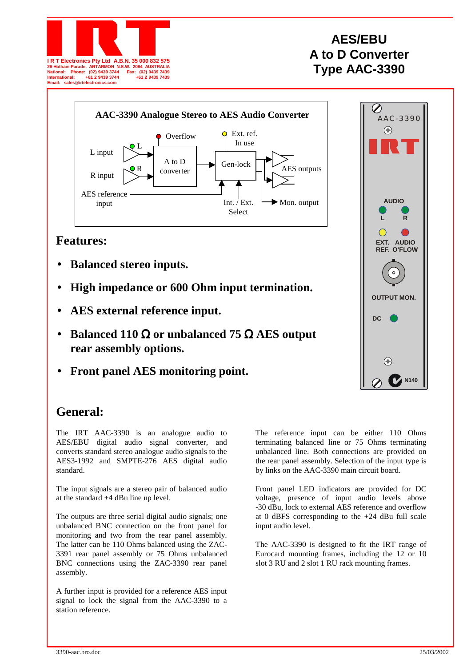

# **AES/EBU A to D Converter Type AAC-3390**



## **Features:**

- **Balanced stereo inputs.**
- **High impedance or 600 Ohm input termination.**
- **AES external reference input.**
- **Balanced 110** Ω **or unbalanced 75** Ω **AES output rear assembly options.**
- **Front panel AES monitoring point.**



## **General:**

The IRT AAC-3390 is an analogue audio to AES/EBU digital audio signal converter, and converts standard stereo analogue audio signals to the AES3-1992 and SMPTE-276 AES digital audio standard.

The input signals are a stereo pair of balanced audio at the standard +4 dBu line up level.

The outputs are three serial digital audio signals; one unbalanced BNC connection on the front panel for monitoring and two from the rear panel assembly. The latter can be 110 Ohms balanced using the ZAC-3391 rear panel assembly or 75 Ohms unbalanced BNC connections using the ZAC-3390 rear panel assembly.

A further input is provided for a reference AES input signal to lock the signal from the AAC-3390 to a station reference.

The reference input can be either 110 Ohms terminating balanced line or 75 Ohms terminating unbalanced line. Both connections are provided on the rear panel assembly. Selection of the input type is by links on the AAC-3390 main circuit board.

Front panel LED indicators are provided for DC voltage, presence of input audio levels above -30 dBu, lock to external AES reference and overflow at 0 dBFS corresponding to the  $+24$  dBu full scale input audio level.

The AAC-3390 is designed to fit the IRT range of Eurocard mounting frames, including the 12 or 10 slot 3 RU and 2 slot 1 RU rack mounting frames.